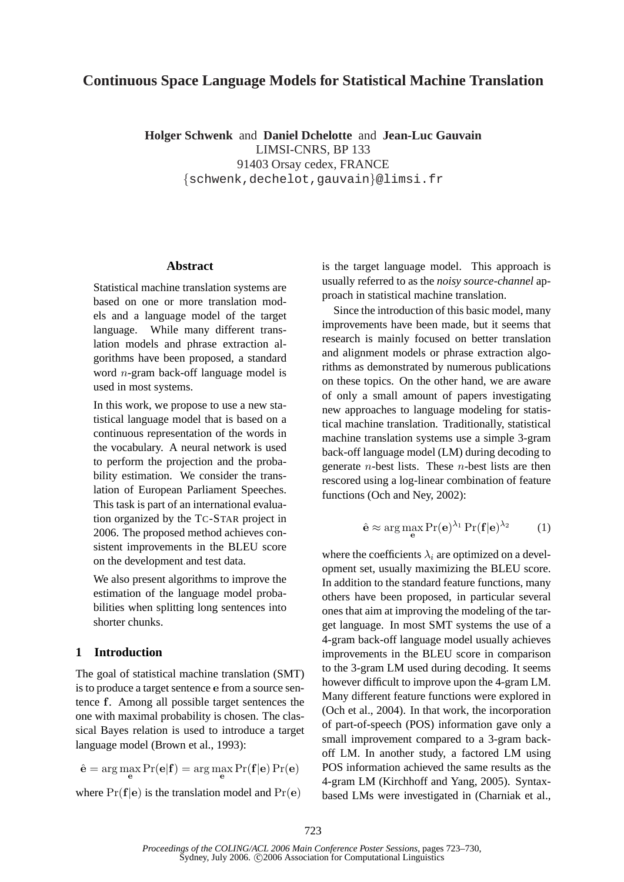# **Continuous Space Language Models for Statistical Machine Translation**

**Holger Schwenk** and **Daniel Dchelotte** and **Jean-Luc Gauvain** LIMSI-CNRS, BP 133 91403 Orsay cedex, FRANCE {schwenk,dechelot,gauvain}@limsi.fr

#### **Abstract**

Statistical machine translation systems are based on one or more translation models and a language model of the target language. While many different translation models and phrase extraction algorithms have been proposed, a standard word n-gram back-off language model is used in most systems.

In this work, we propose to use a new statistical language model that is based on a continuous representation of the words in the vocabulary. A neural network is used to perform the projection and the probability estimation. We consider the translation of European Parliament Speeches. This task is part of an international evaluation organized by the TC-STAR project in 2006. The proposed method achieves consistent improvements in the BLEU score on the development and test data.

We also present algorithms to improve the estimation of the language model probabilities when splitting long sentences into shorter chunks.

# **1 Introduction**

The goal of statistical machine translation (SMT) is to produce a target sentence e from a source sentence f. Among all possible target sentences the one with maximal probability is chosen. The classical Bayes relation is used to introduce a target language model (Brown et al., 1993):

$$
\hat{\mathbf{e}} = \arg\max_{\mathbf{e}} \Pr(\mathbf{e}|\mathbf{f}) = \arg\max_{\mathbf{e}} \Pr(\mathbf{f}|\mathbf{e}) \Pr(\mathbf{e})
$$

where  $Pr(f|e)$  is the translation model and  $Pr(e)$ 

is the target language model. This approach is usually referred to as the *noisy source-channel* approach in statistical machine translation.

Since the introduction of this basic model, many improvements have been made, but it seems that research is mainly focused on better translation and alignment models or phrase extraction algorithms as demonstrated by numerous publications on these topics. On the other hand, we are aware of only a small amount of papers investigating new approaches to language modeling for statistical machine translation. Traditionally, statistical machine translation systems use a simple 3-gram back-off language model (LM) during decoding to generate *n*-best lists. These *n*-best lists are then rescored using a log-linear combination of feature functions (Och and Ney, 2002):

$$
\hat{\mathbf{e}} \approx \arg\max_{\mathbf{e}} \Pr(\mathbf{e})^{\lambda_1} \Pr(\mathbf{f}|\mathbf{e})^{\lambda_2} \tag{1}
$$

where the coefficients  $\lambda_i$  are optimized on a development set, usually maximizing the BLEU score. In addition to the standard feature functions, many others have been proposed, in particular several ones that aim at improving the modeling of the target language. In most SMT systems the use of a 4-gram back-off language model usually achieves improvements in the BLEU score in comparison to the 3-gram LM used during decoding. It seems however difficult to improve upon the 4-gram LM. Many different feature functions were explored in (Och et al., 2004). In that work, the incorporation of part-of-speech (POS) information gave only a small improvement compared to a 3-gram backoff LM. In another study, a factored LM using POS information achieved the same results as the 4-gram LM (Kirchhoff and Yang, 2005). Syntaxbased LMs were investigated in (Charniak et al.,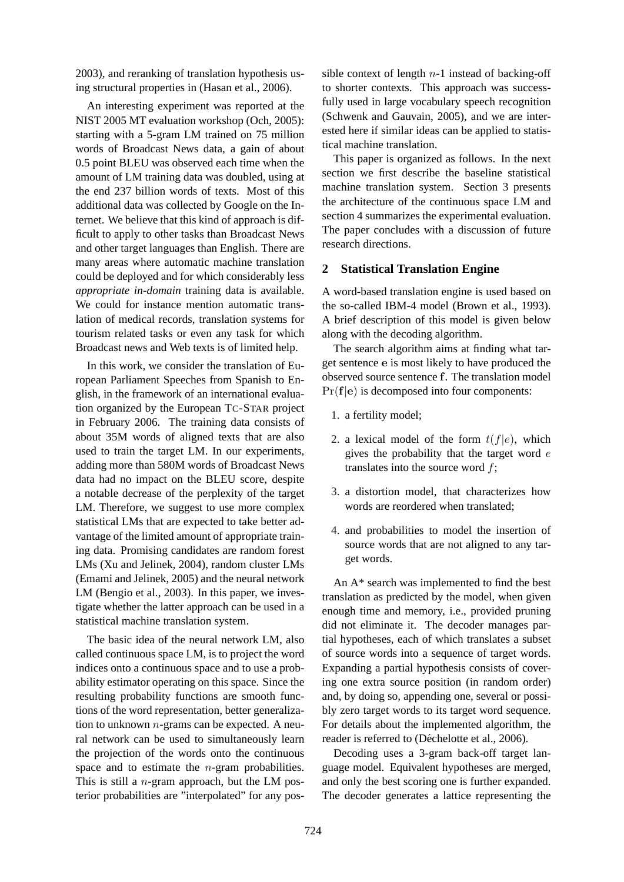2003), and reranking of translation hypothesis using structural properties in (Hasan et al., 2006).

An interesting experiment was reported at the NIST 2005 MT evaluation workshop (Och, 2005): starting with a 5-gram LM trained on 75 million words of Broadcast News data, a gain of about 0.5 point BLEU was observed each time when the amount of LM training data was doubled, using at the end 237 billion words of texts. Most of this additional data was collected by Google on the Internet. We believe that this kind of approach is difficult to apply to other tasks than Broadcast News and other target languages than English. There are many areas where automatic machine translation could be deployed and for which considerably less *appropriate in-domain* training data is available. We could for instance mention automatic translation of medical records, translation systems for tourism related tasks or even any task for which Broadcast news and Web texts is of limited help.

In this work, we consider the translation of European Parliament Speeches from Spanish to English, in the framework of an international evaluation organized by the European TC-STAR project in February 2006. The training data consists of about 35M words of aligned texts that are also used to train the target LM. In our experiments, adding more than 580M words of Broadcast News data had no impact on the BLEU score, despite a notable decrease of the perplexity of the target LM. Therefore, we suggest to use more complex statistical LMs that are expected to take better advantage of the limited amount of appropriate training data. Promising candidates are random forest LMs (Xu and Jelinek, 2004), random cluster LMs (Emami and Jelinek, 2005) and the neural network LM (Bengio et al., 2003). In this paper, we investigate whether the latter approach can be used in a statistical machine translation system.

The basic idea of the neural network LM, also called continuous space LM, is to project the word indices onto a continuous space and to use a probability estimator operating on this space. Since the resulting probability functions are smooth functions of the word representation, better generalization to unknown  $n$ -grams can be expected. A neural network can be used to simultaneously learn the projection of the words onto the continuous space and to estimate the  $n$ -gram probabilities. This is still a  $n$ -gram approach, but the LM posterior probabilities are "interpolated" for any possible context of length  $n-1$  instead of backing-off to shorter contexts. This approach was successfully used in large vocabulary speech recognition (Schwenk and Gauvain, 2005), and we are interested here if similar ideas can be applied to statistical machine translation.

This paper is organized as follows. In the next section we first describe the baseline statistical machine translation system. Section 3 presents the architecture of the continuous space LM and section 4 summarizes the experimental evaluation. The paper concludes with a discussion of future research directions.

#### **2 Statistical Translation Engine**

A word-based translation engine is used based on the so-called IBM-4 model (Brown et al., 1993). A brief description of this model is given below along with the decoding algorithm.

The search algorithm aims at finding what target sentence e is most likely to have produced the observed source sentence f. The translation model  $Pr(f|e)$  is decomposed into four components:

- 1. a fertility model;
- 2. a lexical model of the form  $t(f|e)$ , which gives the probability that the target word  $e$ translates into the source word  $f$ ;
- 3. a distortion model, that characterizes how words are reordered when translated;
- 4. and probabilities to model the insertion of source words that are not aligned to any target words.

An A\* search was implemented to find the best translation as predicted by the model, when given enough time and memory, i.e., provided pruning did not eliminate it. The decoder manages partial hypotheses, each of which translates a subset of source words into a sequence of target words. Expanding a partial hypothesis consists of covering one extra source position (in random order) and, by doing so, appending one, several or possibly zero target words to its target word sequence. For details about the implemented algorithm, the reader is referred to (Déchelotte et al., 2006).

Decoding uses a 3-gram back-off target language model. Equivalent hypotheses are merged, and only the best scoring one is further expanded. The decoder generates a lattice representing the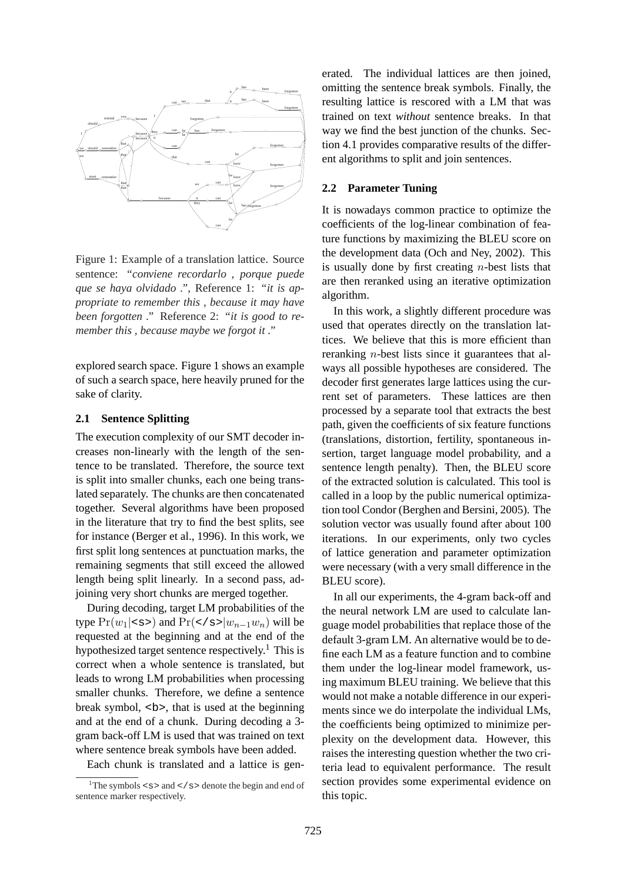

Figure 1: Example of a translation lattice. Source sentence: *"conviene recordarlo , porque puede que se haya olvidado ."*, Reference 1: *"it is appropriate to remember this , because it may have been forgotten ."* Reference 2: *"it is good to remember this , because maybe we forgot it ."*

explored search space. Figure 1 shows an example of such a search space, here heavily pruned for the sake of clarity.

#### **2.1 Sentence Splitting**

The execution complexity of our SMT decoder increases non-linearly with the length of the sentence to be translated. Therefore, the source text is split into smaller chunks, each one being translated separately. The chunks are then concatenated together. Several algorithms have been proposed in the literature that try to find the best splits, see for instance (Berger et al., 1996). In this work, we first split long sentences at punctuation marks, the remaining segments that still exceed the allowed length being split linearly. In a second pass, adjoining very short chunks are merged together.

During decoding, target LM probabilities of the type  $Pr(w_1|< s>)$  and  $Pr(< s>|w_{n-1}w_n)$  will be requested at the beginning and at the end of the hypothesized target sentence respectively.<sup>1</sup> This is correct when a whole sentence is translated, but leads to wrong LM probabilities when processing smaller chunks. Therefore, we define a sentence break symbol, <br/>b>, that is used at the beginning and at the end of a chunk. During decoding a 3 gram back-off LM is used that was trained on text where sentence break symbols have been added.

Each chunk is translated and a lattice is gen-

erated. The individual lattices are then joined, omitting the sentence break symbols. Finally, the resulting lattice is rescored with a LM that was trained on text *without* sentence breaks. In that way we find the best junction of the chunks. Section 4.1 provides comparative results of the different algorithms to split and join sentences.

#### **2.2 Parameter Tuning**

It is nowadays common practice to optimize the coefficients of the log-linear combination of feature functions by maximizing the BLEU score on the development data (Och and Ney, 2002). This is usually done by first creating  $n$ -best lists that are then reranked using an iterative optimization algorithm.

In this work, a slightly different procedure was used that operates directly on the translation lattices. We believe that this is more efficient than reranking n-best lists since it guarantees that always all possible hypotheses are considered. The decoder first generates large lattices using the current set of parameters. These lattices are then processed by a separate tool that extracts the best path, given the coefficients of six feature functions (translations, distortion, fertility, spontaneous insertion, target language model probability, and a sentence length penalty). Then, the BLEU score of the extracted solution is calculated. This tool is called in a loop by the public numerical optimization tool Condor (Berghen and Bersini, 2005). The solution vector was usually found after about 100 iterations. In our experiments, only two cycles of lattice generation and parameter optimization were necessary (with a very small difference in the BLEU score).

In all our experiments, the 4-gram back-off and the neural network LM are used to calculate language model probabilities that replace those of the default 3-gram LM. An alternative would be to define each LM as a feature function and to combine them under the log-linear model framework, using maximum BLEU training. We believe that this would not make a notable difference in our experiments since we do interpolate the individual LMs, the coefficients being optimized to minimize perplexity on the development data. However, this raises the interesting question whether the two criteria lead to equivalent performance. The result section provides some experimental evidence on this topic.

<sup>&</sup>lt;sup>1</sup>The symbols  $\leq s$  and  $\leq$  / s  $>$  denote the begin and end of sentence marker respectively.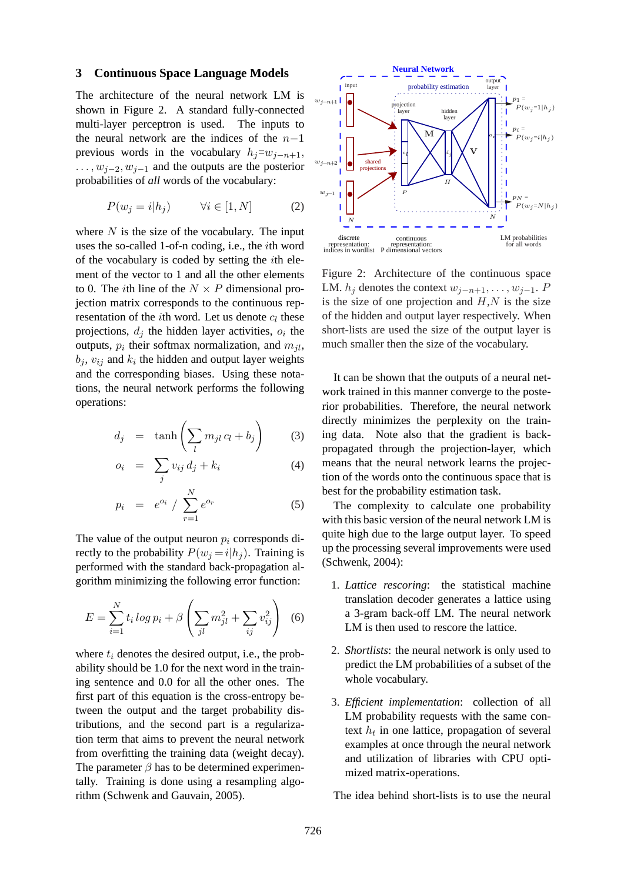#### **3 Continuous Space Language Models**

The architecture of the neural network LM is shown in Figure 2. A standard fully-connected multi-layer perceptron is used. The inputs to the neural network are the indices of the  $n-1$ previous words in the vocabulary  $h_i=w_{i-n+1}$ ,  $\dots, w_{i-2}, w_{i-1}$  and the outputs are the posterior probabilities of *all* words of the vocabulary:

$$
P(w_j = i | h_j) \qquad \forall i \in [1, N] \tag{2}
$$

where  $N$  is the size of the vocabulary. The input uses the so-called 1-of-n coding, i.e., the ith word of the vocabulary is coded by setting the ith element of the vector to 1 and all the other elements to 0. The *i*th line of the  $N \times P$  dimensional projection matrix corresponds to the continuous representation of the *i*th word. Let us denote  $c_l$  these projections,  $d_j$  the hidden layer activities,  $o_i$  the outputs,  $p_i$  their softmax normalization, and  $m_{jl}$ ,  $b_j$ ,  $v_{ij}$  and  $k_i$  the hidden and output layer weights and the corresponding biases. Using these notations, the neural network performs the following operations:

$$
d_j = \tanh\left(\sum_l m_{jl} c_l + b_j\right) \tag{3}
$$

$$
o_i = \sum_j v_{ij} d_j + k_i \tag{4}
$$

$$
p_i = e^{o_i} / \sum_{r=1}^{N} e^{o_r}
$$
 (5)

The value of the output neuron  $p_i$  corresponds directly to the probability  $P(w_i = i|h_i)$ . Training is performed with the standard back-propagation algorithm minimizing the following error function:

$$
E = \sum_{i=1}^{N} t_i \log p_i + \beta \left( \sum_{jl} m_{jl}^2 + \sum_{ij} v_{ij}^2 \right) \tag{6}
$$

where  $t_i$  denotes the desired output, i.e., the probability should be 1.0 for the next word in the training sentence and 0.0 for all the other ones. The first part of this equation is the cross-entropy between the output and the target probability distributions, and the second part is a regularization term that aims to prevent the neural network from overfitting the training data (weight decay). The parameter  $\beta$  has to be determined experimentally. Training is done using a resampling algorithm (Schwenk and Gauvain, 2005).



Figure 2: Architecture of the continuous space LM.  $h_j$  denotes the context  $w_{j-n+1}, \ldots, w_{j-1}$ .  $P$ is the size of one projection and  $H, N$  is the size of the hidden and output layer respectively. When short-lists are used the size of the output layer is much smaller then the size of the vocabulary.

It can be shown that the outputs of a neural network trained in this manner converge to the posterior probabilities. Therefore, the neural network directly minimizes the perplexity on the training data. Note also that the gradient is backpropagated through the projection-layer, which means that the neural network learns the projection of the words onto the continuous space that is best for the probability estimation task.

The complexity to calculate one probability with this basic version of the neural network LM is quite high due to the large output layer. To speed up the processing several improvements were used (Schwenk, 2004):

- 1. *Lattice rescoring*: the statistical machine translation decoder generates a lattice using a 3-gram back-off LM. The neural network LM is then used to rescore the lattice.
- 2. *Shortlists*: the neural network is only used to predict the LM probabilities of a subset of the whole vocabulary.
- 3. *Efficient implementation*: collection of all LM probability requests with the same context  $h_t$  in one lattice, propagation of several examples at once through the neural network and utilization of libraries with CPU optimized matrix-operations.

The idea behind short-lists is to use the neural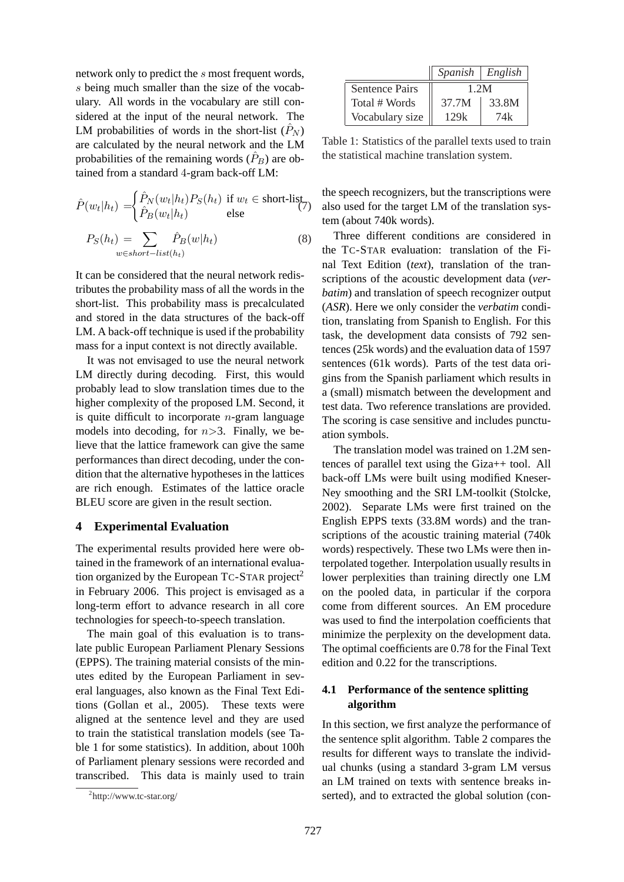network only to predict the s most frequent words, s being much smaller than the size of the vocabulary. All words in the vocabulary are still considered at the input of the neural network. The LM probabilities of words in the short-list  $(\hat{P}_N)$ are calculated by the neural network and the LM probabilities of the remaining words  $(\hat{P}_B)$  are obtained from a standard 4-gram back-off LM:

$$
\hat{P}(w_t|h_t) = \begin{cases}\n\hat{P}_N(w_t|h_t)P_S(h_t) & \text{if } w_t \in \text{short-list} \\
\hat{P}_B(w_t|h_t) & \text{else}\n\end{cases}
$$
\n
$$
P_S(h_t) = \sum_{w \in short-list(h_t)} \hat{P}_B(w|h_t)
$$
\n(8)

It can be considered that the neural network redistributes the probability mass of all the words in the short-list. This probability mass is precalculated and stored in the data structures of the back-off LM. A back-off technique is used if the probability mass for a input context is not directly available.

It was not envisaged to use the neural network LM directly during decoding. First, this would probably lead to slow translation times due to the higher complexity of the proposed LM. Second, it is quite difficult to incorporate  $n$ -gram language models into decoding, for  $n>3$ . Finally, we believe that the lattice framework can give the same performances than direct decoding, under the condition that the alternative hypotheses in the lattices are rich enough. Estimates of the lattice oracle BLEU score are given in the result section.

#### **4 Experimental Evaluation**

The experimental results provided here were obtained in the framework of an international evaluation organized by the European  $T_{C-STAR}$  project<sup>2</sup> in February 2006. This project is envisaged as a long-term effort to advance research in all core technologies for speech-to-speech translation.

The main goal of this evaluation is to translate public European Parliament Plenary Sessions (EPPS). The training material consists of the minutes edited by the European Parliament in several languages, also known as the Final Text Editions (Gollan et al., 2005). These texts were aligned at the sentence level and they are used to train the statistical translation models (see Table 1 for some statistics). In addition, about 100h of Parliament plenary sessions were recorded and transcribed. This data is mainly used to train

|                       | $Spanish$ $English$ |       |
|-----------------------|---------------------|-------|
| <b>Sentence Pairs</b> | 1.2M                |       |
| Total # Words         | 37.7M               | 33.8M |
| Vocabulary size       | 129k                | 74k   |

Table 1: Statistics of the parallel texts used to train the statistical machine translation system.

the speech recognizers, but the transcriptions were also used for the target LM of the translation system (about 740k words).

Three different conditions are considered in the TC-STAR evaluation: translation of the Final Text Edition (*text*), translation of the transcriptions of the acoustic development data (*verbatim*) and translation of speech recognizer output (*ASR*). Here we only consider the *verbatim* condition, translating from Spanish to English. For this task, the development data consists of 792 sentences (25k words) and the evaluation data of 1597 sentences (61k words). Parts of the test data origins from the Spanish parliament which results in a (small) mismatch between the development and test data. Two reference translations are provided. The scoring is case sensitive and includes punctuation symbols.

The translation model was trained on 1.2M sentences of parallel text using the Giza++ tool. All back-off LMs were built using modified Kneser-Ney smoothing and the SRI LM-toolkit (Stolcke, 2002). Separate LMs were first trained on the English EPPS texts (33.8M words) and the transcriptions of the acoustic training material (740k words) respectively. These two LMs were then interpolated together. Interpolation usually results in lower perplexities than training directly one LM on the pooled data, in particular if the corpora come from different sources. An EM procedure was used to find the interpolation coefficients that minimize the perplexity on the development data. The optimal coefficients are 0.78 for the Final Text edition and 0.22 for the transcriptions.

### **4.1 Performance of the sentence splitting algorithm**

In this section, we first analyze the performance of the sentence split algorithm. Table 2 compares the results for different ways to translate the individual chunks (using a standard 3-gram LM versus an LM trained on texts with sentence breaks inserted), and to extracted the global solution (con-

<sup>&</sup>lt;sup>2</sup>http://www.tc-star.org/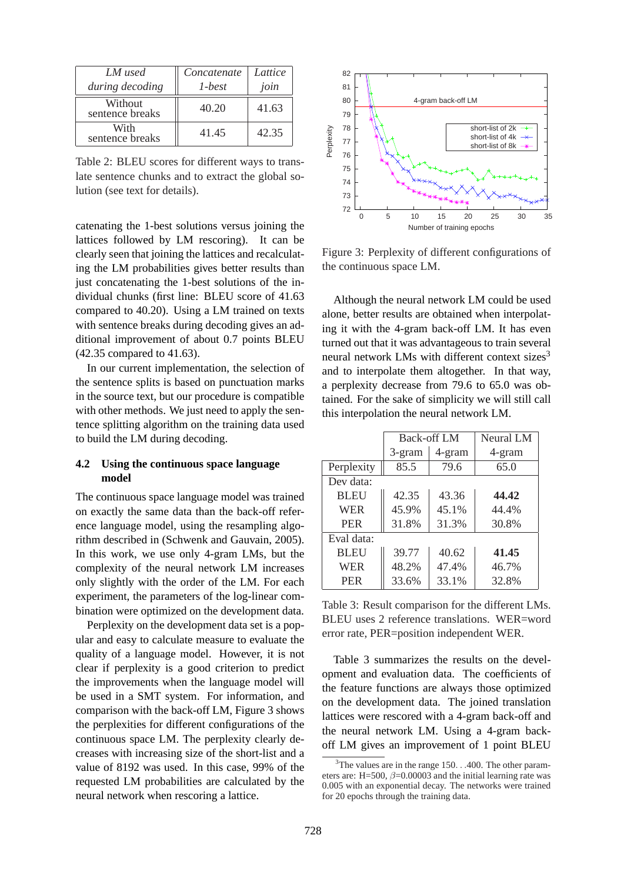| LM used                    | Concatenate | Lattice |
|----------------------------|-------------|---------|
| during decoding            | $1-best$    | join    |
| Without<br>sentence breaks | 40.20       | 41.63   |
| With<br>sentence breaks    | 41.45       | 42.35   |

Table 2: BLEU scores for different ways to translate sentence chunks and to extract the global solution (see text for details).

catenating the 1-best solutions versus joining the lattices followed by LM rescoring). It can be clearly seen that joining the lattices and recalculating the LM probabilities gives better results than just concatenating the 1-best solutions of the individual chunks (first line: BLEU score of 41.63 compared to 40.20). Using a LM trained on texts with sentence breaks during decoding gives an additional improvement of about 0.7 points BLEU (42.35 compared to 41.63).

In our current implementation, the selection of the sentence splits is based on punctuation marks in the source text, but our procedure is compatible with other methods. We just need to apply the sentence splitting algorithm on the training data used to build the LM during decoding.

## **4.2 Using the continuous space language model**

The continuous space language model was trained on exactly the same data than the back-off reference language model, using the resampling algorithm described in (Schwenk and Gauvain, 2005). In this work, we use only 4-gram LMs, but the complexity of the neural network LM increases only slightly with the order of the LM. For each experiment, the parameters of the log-linear combination were optimized on the development data.

Perplexity on the development data set is a popular and easy to calculate measure to evaluate the quality of a language model. However, it is not clear if perplexity is a good criterion to predict the improvements when the language model will be used in a SMT system. For information, and comparison with the back-off LM, Figure 3 shows the perplexities for different configurations of the continuous space LM. The perplexity clearly decreases with increasing size of the short-list and a value of 8192 was used. In this case, 99% of the requested LM probabilities are calculated by the neural network when rescoring a lattice.



Figure 3: Perplexity of different configurations of the continuous space LM.

Although the neural network LM could be used alone, better results are obtained when interpolating it with the 4-gram back-off LM. It has even turned out that it was advantageous to train several neural network LMs with different context sizes $3$ and to interpolate them altogether. In that way, a perplexity decrease from 79.6 to 65.0 was obtained. For the sake of simplicity we will still call this interpolation the neural network LM.

|             | <b>Back-off LM</b> |        | Neural LM |
|-------------|--------------------|--------|-----------|
|             | 3-gram             | 4-gram | 4-gram    |
| Perplexity  | 85.5               | 79.6   | 65.0      |
| Dev data:   |                    |        |           |
| <b>BLEU</b> | 42.35              | 43.36  | 44.42     |
| <b>WER</b>  | 45.9%              | 45.1%  | 44.4%     |
| <b>PER</b>  | 31.8%              | 31.3%  | 30.8%     |
| Eval data:  |                    |        |           |
| <b>BLEU</b> | 39.77              | 40.62  | 41.45     |
| <b>WER</b>  | 48.2%              | 47.4%  | 46.7%     |
| <b>PER</b>  | 33.6%              | 33.1%  | 32.8%     |

Table 3: Result comparison for the different LMs. BLEU uses 2 reference translations. WER=word error rate, PER=position independent WER.

Table 3 summarizes the results on the development and evaluation data. The coefficients of the feature functions are always those optimized on the development data. The joined translation lattices were rescored with a 4-gram back-off and the neural network LM. Using a 4-gram backoff LM gives an improvement of 1 point BLEU

 $3$ The values are in the range 150.  $\ldots$ 400. The other parameters are: H=500,  $\beta$ =0.00003 and the initial learning rate was 0.005 with an exponential decay. The networks were trained for 20 epochs through the training data.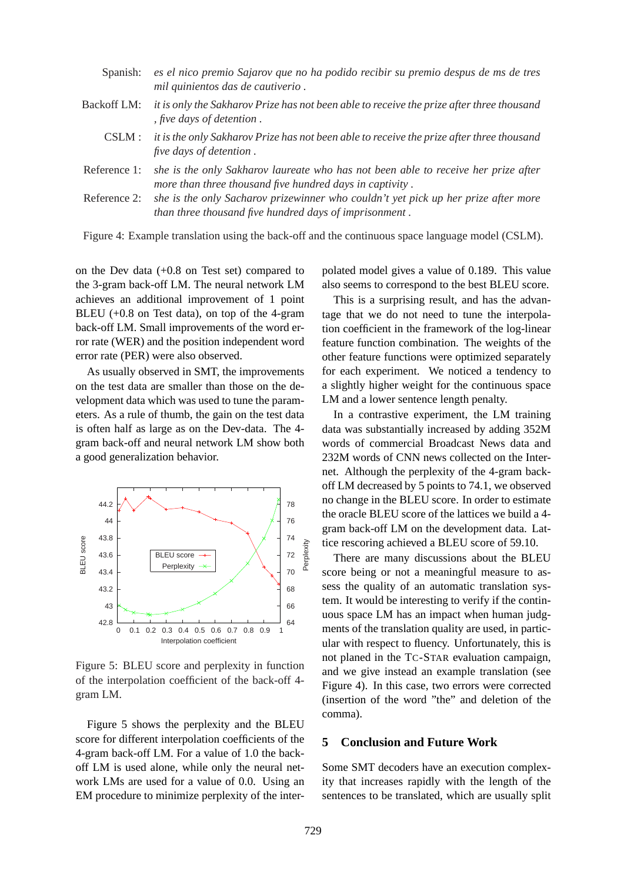| Spanish:     | es el nico premio Sajarov que no ha podido recibir su premio despus de ms de tres<br>mil quinientos das de cautiverio.                         |
|--------------|------------------------------------------------------------------------------------------------------------------------------------------------|
| Backoff LM:  | it is only the Sakharov Prize has not been able to receive the prize after three thousand<br>, five days of detention.                         |
| CSLM :       | it is the only Sakharov Prize has not been able to receive the prize after three thousand<br><i>five days of detention.</i>                    |
| Reference 1: | she is the only Sakharov laureate who has not been able to receive her prize after<br>more than three thousand five hundred days in captivity. |
| Reference 2: | she is the only Sacharov prizewinner who couldn't yet pick up her prize after more<br>than three thousand five hundred days of imprisonment.   |

Figure 4: Example translation using the back-off and the continuous space language model (CSLM).

on the Dev data (+0.8 on Test set) compared to the 3-gram back-off LM. The neural network LM achieves an additional improvement of 1 point BLEU (+0.8 on Test data), on top of the 4-gram back-off LM. Small improvements of the word error rate (WER) and the position independent word error rate (PER) were also observed.

As usually observed in SMT, the improvements on the test data are smaller than those on the development data which was used to tune the parameters. As a rule of thumb, the gain on the test data is often half as large as on the Dev-data. The 4 gram back-off and neural network LM show both a good generalization behavior.



Figure 5: BLEU score and perplexity in function of the interpolation coefficient of the back-off 4 gram LM.

Figure 5 shows the perplexity and the BLEU score for different interpolation coefficients of the 4-gram back-off LM. For a value of 1.0 the backoff LM is used alone, while only the neural network LMs are used for a value of 0.0. Using an EM procedure to minimize perplexity of the interpolated model gives a value of 0.189. This value also seems to correspond to the best BLEU score.

This is a surprising result, and has the advantage that we do not need to tune the interpolation coefficient in the framework of the log-linear feature function combination. The weights of the other feature functions were optimized separately for each experiment. We noticed a tendency to a slightly higher weight for the continuous space LM and a lower sentence length penalty.

In a contrastive experiment, the LM training data was substantially increased by adding 352M words of commercial Broadcast News data and 232M words of CNN news collected on the Internet. Although the perplexity of the 4-gram backoff LM decreased by 5 points to 74.1, we observed no change in the BLEU score. In order to estimate the oracle BLEU score of the lattices we build a 4 gram back-off LM on the development data. Lattice rescoring achieved a BLEU score of 59.10.

There are many discussions about the BLEU score being or not a meaningful measure to assess the quality of an automatic translation system. It would be interesting to verify if the continuous space LM has an impact when human judgments of the translation quality are used, in particular with respect to fluency. Unfortunately, this is not planed in the TC-STAR evaluation campaign, and we give instead an example translation (see Figure 4). In this case, two errors were corrected (insertion of the word "the" and deletion of the comma).

#### **5 Conclusion and Future Work**

Some SMT decoders have an execution complexity that increases rapidly with the length of the sentences to be translated, which are usually split